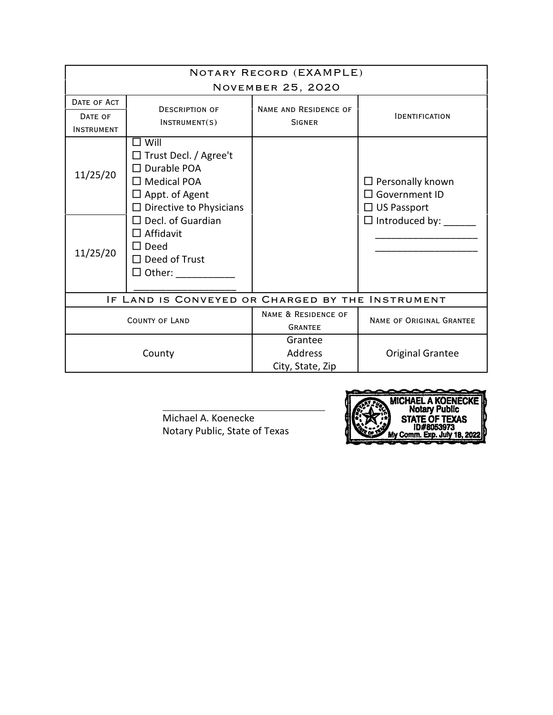| NOTARY RECORD (EXAMPLE)<br><b>NOVEMBER 25, 2020</b> |                                                                                                                                                                                                                                                       |                                               |                                                                                           |  |  |
|-----------------------------------------------------|-------------------------------------------------------------------------------------------------------------------------------------------------------------------------------------------------------------------------------------------------------|-----------------------------------------------|-------------------------------------------------------------------------------------------|--|--|
| DATE OF ACT<br>DATE OF<br><b>INSTRUMENT</b>         | <b>DESCRIPTION OF</b><br>INSTRUMENT(S)                                                                                                                                                                                                                | <b>NAME AND RESIDENCE OF</b><br><b>SIGNER</b> | <b>IDENTIFICATION</b>                                                                     |  |  |
| 11/25/20<br>11/25/20                                | $\Box$ Will<br>□ Trust Decl. / Agree't<br>$\Box$ Durable POA<br>$\Box$ Medical POA<br>$\Box$ Appt. of Agent<br>$\Box$ Directive to Physicians<br>$\Box$ Decl. of Guardian<br>$\Box$ Affidavit<br>$\Box$ Deed<br>$\Box$ Deed of Trust<br>$\Box$ Other: |                                               | $\Box$ Personally known<br>□ Government ID<br>$\Box$ US Passport<br>$\Box$ Introduced by: |  |  |
| IF LAND IS CONVEYED OR CHARGED BY THE INSTRUMENT    |                                                                                                                                                                                                                                                       |                                               |                                                                                           |  |  |
| <b>COUNTY OF LAND</b>                               |                                                                                                                                                                                                                                                       | NAME & RESIDENCE OF<br><b>GRANTEE</b>         | NAME OF ORIGINAL GRANTEE                                                                  |  |  |
| County                                              |                                                                                                                                                                                                                                                       | Grantee<br>Address<br>City, State, Zip        | <b>Original Grantee</b>                                                                   |  |  |

Michael A. Koenecke Notary Public, State of Texas